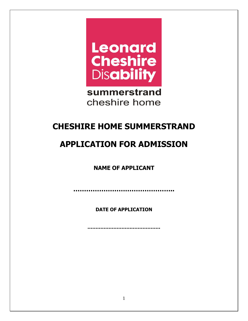

summerstrand cheshire home

# **CHESHIRE HOME SUMMERSTRAND**

# **APPLICATION FOR ADMISSION**

**NAME OF APPLICANT**

**………………………………………..**

**DATE OF APPLICATION**

**………………………………………**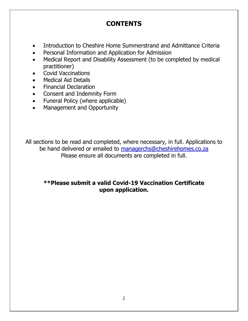# **CONTENTS**

- Introduction to Cheshire Home Summerstrand and Admittance Criteria
- Personal Information and Application for Admission
- Medical Report and Disability Assessment (to be completed by medical practitioner)
- Covid Vaccinations
- Medical Aid Details
- Financial Declaration
- Consent and Indemnity Form
- Funeral Policy (where applicable)
- Management and Opportunity

All sections to be read and completed, where necessary, in full. Applications to be hand delivered or emailed to [managerchs@cheshirehomes.co.za](mailto:managerchs@cheshirehomes.co.za) Please ensure all documents are completed in full.

### **\*\*Please submit a valid Covid-19 Vaccination Certificate upon application.**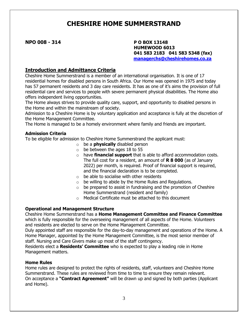## **CHESHIRE HOME SUMMERSTRAND**

**NPO 008 - 314 P O BOX 13148**

 **HUMEWOOD 6013 041 583 2183 041 583 5348 (fax) [managerchs@cheshirehomes.co.za](mailto:managerchs@cheshirehomes.co.za)**

### **Introduction and Admittance Criteria**

Cheshire Home Summerstrand is a member of an international organisation. It is one of 17 residential homes for disabled persons in South Africa. Our Home was opened in 1975 and today has 57 permanent residents and 3 day care residents. It has as one of it's aims the provision of full residential care and services to people with severe permanent physical disabilities. The Home also offers independent living opportunities.

The Home always strives to provide quality care, support, and opportunity to disabled persons in the Home and within the mainstream of society.

Admission to a Cheshire Home is by voluntary application and acceptance is fully at the discretion of the Home Management Committee.

The Home is managed to be a homely environment where family and friends are important.

#### **Admission Criteria**

To be eligible for admission to Cheshire Home Summerstrand the applicant must:

- o be a **physically** disabled person
- $\circ$  be between the ages 18 to 55
- o have **financial support** that is able to afford accommodation costs. The full cost for a resident, an amount of **R 8 000** (as of January 2022) per month, is required. Proof of financial support is required, and the financial declaration is to be completed.
- $\circ$  be able to socialise with other residents
- $\circ$  be willing to abide by the Home Rules and Regulations.
- $\circ$  be prepared to assist in fundraising and the promotion of Cheshire Home Summerstrand (resident and family)
- o Medical Certificate must be attached to this document

#### **Operational and Management Structure**

Cheshire Home Summerstrand has a **Home Management Committee and Finance Committee**  which is fully responsible for the overseeing management of all aspects of the Home. Volunteers and residents are elected to serve on the Home Management Committee.

Duly appointed staff are responsible for the day-to-day management and operations of the Home. A Home Manager, appointed by the Home Management Committee, is the most senior member of staff. Nursing and Care Givers make up most of the staff contingency.

Residents elect a **Residents' Committee** who is expected to play a leading role in Home Management matters.

#### **Home Rules**

Home rules are designed to protect the rights of residents, staff, volunteers and Cheshire Home Summerstrand. These rules are reviewed from time to time to ensure they remain relevant. On acceptance a **"Contract Agreement"** will be drawn up and signed by both parties (Applicant and Home).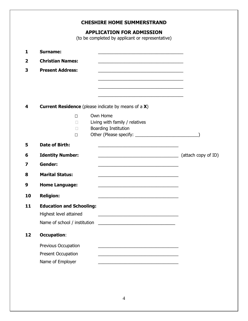### **CHESHIRE HOME SUMMERSTRAND**

### **APPLICATION FOR ADMISSION**

(to be completed by applicant or representative)

| 1  | <b>Surname:</b>                 | <u> 1989 - Johann John Stone, markin film yn y brenin y brenin y brenin y brenin y brenin y brenin y brenin y br</u>  |                     |
|----|---------------------------------|-----------------------------------------------------------------------------------------------------------------------|---------------------|
| 2  | <b>Christian Names:</b>         |                                                                                                                       |                     |
| 3  | <b>Present Address:</b>         |                                                                                                                       |                     |
|    |                                 |                                                                                                                       |                     |
|    |                                 | and the control of the control of the control of the control of the control of the control of the control of the      |                     |
|    |                                 |                                                                                                                       |                     |
| 4  |                                 | <b>Current Residence</b> (please indicate by means of a X)                                                            |                     |
|    | $\Box$                          | Own Home                                                                                                              |                     |
|    | П                               | Living with family / relatives                                                                                        |                     |
|    | П                               | <b>Boarding Institution</b>                                                                                           |                     |
|    | $\Box$                          |                                                                                                                       |                     |
| 5  | <b>Date of Birth:</b>           |                                                                                                                       |                     |
| 6  | <b>Identity Number:</b>         | <u> 1989 - Jan James James Barnett, martin de la populación de la propia de la propia de la propia de la propia d</u> | (attach copy of ID) |
| 7  | <b>Gender:</b>                  |                                                                                                                       |                     |
| 8  | <b>Marital Status:</b>          |                                                                                                                       |                     |
| 9  | <b>Home Language:</b>           |                                                                                                                       |                     |
| 10 | <b>Religion:</b>                | <u> 1980 - Johann John Stein, marwolaethau (b. 1980)</u>                                                              |                     |
| 11 | <b>Education and Schooling:</b> |                                                                                                                       |                     |
|    | Highest level attained          |                                                                                                                       |                     |
|    | Name of school / institution    | <u> 2000 - Jan Barat, martin da basar da basar da basar da basar da basar da basar da basar da basar da basar da</u>  |                     |
| 12 | <b>Occupation:</b>              |                                                                                                                       |                     |
|    | Previous Occupation             |                                                                                                                       |                     |
|    | <b>Present Occupation</b>       |                                                                                                                       |                     |
|    | Name of Employer                |                                                                                                                       |                     |
|    |                                 |                                                                                                                       |                     |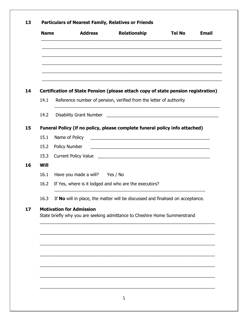| <b>Name</b> | <b>Address</b>                                                                    | <b>Relationship</b>                                                                                                   | <b>Tel No</b> | <b>Email</b> |
|-------------|-----------------------------------------------------------------------------------|-----------------------------------------------------------------------------------------------------------------------|---------------|--------------|
|             |                                                                                   |                                                                                                                       |               |              |
|             | Certification of State Pension (please attach copy of state pension registration) |                                                                                                                       |               |              |
| 14.1        | Reference number of pension, verified from the letter of authority                |                                                                                                                       |               |              |
| 14.2        |                                                                                   |                                                                                                                       |               |              |
|             | Funeral Policy (if no policy, please complete funeral policy info attached)       |                                                                                                                       |               |              |
| 15.1        |                                                                                   |                                                                                                                       |               |              |
| 15.2        | Policy Number                                                                     | <u> 1989 - Johann Harry Harry Harry Harry Harry Harry Harry Harry Harry Harry Harry Harry Harry Harry Harry Harry</u> |               |              |
| 15.3        |                                                                                   |                                                                                                                       |               |              |
| Will        |                                                                                   |                                                                                                                       |               |              |
| 16.1        | Have you made a will? Yes / No                                                    |                                                                                                                       |               |              |
| 16.2        | If Yes, where is it lodged and who are the executors?                             |                                                                                                                       |               |              |
| 16.3        | If No will in place, the matter will be discussed and finalised on acceptance.    |                                                                                                                       |               |              |
|             | <b>Motivation for Admission</b>                                                   |                                                                                                                       |               |              |
|             | State briefly why you are seeking admittance to Cheshire Home Summerstrand        |                                                                                                                       |               |              |
|             |                                                                                   |                                                                                                                       |               |              |
|             |                                                                                   |                                                                                                                       |               |              |
|             |                                                                                   |                                                                                                                       |               |              |
|             |                                                                                   |                                                                                                                       |               |              |
|             |                                                                                   |                                                                                                                       |               |              |
|             |                                                                                   |                                                                                                                       |               |              |
|             |                                                                                   |                                                                                                                       |               |              |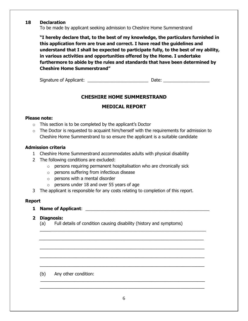### **18 Declaration**

To be made by applicant seeking admission to Cheshire Home Summerstrand

**"I hereby declare that, to the best of my knowledge, the particulars furnished in this application form are true and correct. I have read the guidelines and understand that I shall be expected to participate fully, to the best of my ability, in various activities and opportunities offered by the Home. I undertake furthermore to abide by the rules and standards that have been determined by Cheshire Home Summerstrand"**

Signature of Applicant: \_\_\_\_\_\_\_\_\_\_\_\_\_\_\_\_\_\_\_\_\_\_\_\_\_ Date: \_\_\_\_\_\_\_\_\_\_\_\_\_\_\_\_\_\_\_

### **CHESHIRE HOME SUMMERSTRAND**

### **MEDICAL REPORT**

### **Please note:**

- $\circ$  This section is to be completed by the applicant's Doctor
- $\circ$  The Doctor is requested to acquaint him/herself with the requirements for admission to Cheshire Home Summerstrand to so ensure the applicant is a suitable candidate

### **Admission criteria**

- 1 Cheshire Home Summerstrand accommodates adults with physical disability
- 2 The following conditions are excluded:
	- o persons requiring permanent hospitalisation who are chronically sick
	- o persons suffering from infectious disease
	- $\circ$  persons with a mental disorder
	- o persons under 18 and over 55 years of age
- 3 The applicant is responsible for any costs relating to completion of this report.

#### **Report**

**1 Name of Applicant**: \_\_\_\_\_\_\_\_\_\_\_\_\_\_\_\_\_\_\_\_\_\_\_\_\_\_\_\_\_\_\_\_\_\_\_\_\_\_\_\_\_\_\_\_\_\_\_\_\_\_\_

#### **2 Diagnosis:**

(a) Full details of condition causing disability (history and symptoms)

 $\overline{\phantom{a}}$  , and the contribution of the contribution of the contribution of the contribution of the contribution of the contribution of the contribution of the contribution of the contribution of the contribution of the

 $\frac{1}{2}$  ,  $\frac{1}{2}$  ,  $\frac{1}{2}$  ,  $\frac{1}{2}$  ,  $\frac{1}{2}$  ,  $\frac{1}{2}$  ,  $\frac{1}{2}$  ,  $\frac{1}{2}$  ,  $\frac{1}{2}$  ,  $\frac{1}{2}$  ,  $\frac{1}{2}$  ,  $\frac{1}{2}$  ,  $\frac{1}{2}$  ,  $\frac{1}{2}$  ,  $\frac{1}{2}$  ,  $\frac{1}{2}$  ,  $\frac{1}{2}$  ,  $\frac{1}{2}$  ,  $\frac{1$ 

 $\_$  , and the contribution of the contribution of  $\mathcal{L}_\mathcal{A}$  , and the contribution of  $\mathcal{L}_\mathcal{A}$  , and the contribution of  $\mathcal{L}_\mathcal{A}$ 

\_\_\_\_\_\_\_\_\_\_\_\_\_\_\_\_\_\_\_\_\_\_\_\_\_\_\_\_\_\_\_\_\_\_\_\_\_\_\_\_\_\_\_\_\_\_\_\_\_\_\_\_\_\_\_\_\_\_\_\_\_\_

\_\_\_\_\_\_\_\_\_\_\_\_\_\_\_\_\_\_\_\_\_\_\_\_\_\_\_\_\_\_\_\_\_\_\_\_\_\_\_\_\_\_\_\_\_\_\_\_\_\_\_\_\_\_\_\_\_\_\_\_\_\_

\_\_\_\_\_\_\_\_\_\_\_\_\_\_\_\_\_\_\_\_\_\_\_\_\_\_\_\_\_\_\_\_\_\_\_\_\_\_\_\_\_\_\_\_\_\_\_\_\_\_\_\_\_\_\_\_\_\_\_\_\_\_

#### (b) Any other condition:

\_\_\_\_\_\_\_\_\_\_\_\_\_\_\_\_\_\_\_\_\_\_\_\_\_\_\_\_\_\_\_\_\_\_\_\_\_\_\_\_\_\_\_\_\_\_\_\_\_\_\_\_\_\_\_\_\_\_\_\_\_\_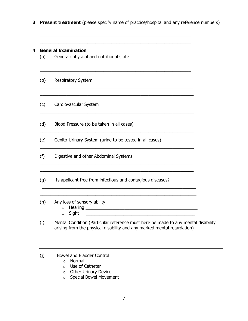**3 Present treatment** (please specify name of practice/hospital and any reference numbers)

\_\_\_\_\_\_\_\_\_\_\_\_\_\_\_\_\_\_\_\_\_\_\_\_\_\_\_\_\_\_\_\_\_\_\_\_\_\_\_\_\_\_\_\_\_\_\_\_\_\_\_\_\_\_\_\_\_ \_\_\_\_\_\_\_\_\_\_\_\_\_\_\_\_\_\_\_\_\_\_\_\_\_\_\_\_\_\_\_\_\_\_\_\_\_\_\_\_\_\_\_\_\_\_\_\_\_\_\_\_\_\_\_\_\_ \_\_\_\_\_\_\_\_\_\_\_\_\_\_\_\_\_\_\_\_\_\_\_\_\_\_\_\_\_\_\_\_\_\_\_\_\_\_\_\_\_\_\_\_\_\_\_\_\_\_\_\_\_\_\_\_\_

 $\_$  , and the set of the set of the set of the set of the set of the set of the set of the set of the set of the set of the set of the set of the set of the set of the set of the set of the set of the set of the set of th \_\_\_\_\_\_\_\_\_\_\_\_\_\_\_\_\_\_\_\_\_\_\_\_\_\_\_\_\_\_\_\_\_\_\_\_\_\_\_\_\_\_\_\_\_\_\_\_\_\_\_\_\_\_\_\_\_

\_\_\_\_\_\_\_\_\_\_\_\_\_\_\_\_\_\_\_\_\_\_\_\_\_\_\_\_\_\_\_\_\_\_\_\_\_\_\_\_\_\_\_\_\_\_\_\_\_\_\_\_\_\_\_\_\_\_ \_\_\_\_\_\_\_\_\_\_\_\_\_\_\_\_\_\_\_\_\_\_\_\_\_\_\_\_\_\_\_\_\_\_\_\_\_\_\_\_\_\_\_\_\_\_\_\_\_\_\_\_\_\_\_\_\_\_

\_\_\_\_\_\_\_\_\_\_\_\_\_\_\_\_\_\_\_\_\_\_\_\_\_\_\_\_\_\_\_\_\_\_\_\_\_\_\_\_\_\_\_\_\_\_\_\_\_\_\_\_\_\_\_\_\_\_ \_\_\_\_\_\_\_\_\_\_\_\_\_\_\_\_\_\_\_\_\_\_\_\_\_\_\_\_\_\_\_\_\_\_\_\_\_\_\_\_\_\_\_\_\_\_\_\_\_\_\_\_\_\_\_\_\_\_

\_\_\_\_\_\_\_\_\_\_\_\_\_\_\_\_\_\_\_\_\_\_\_\_\_\_\_\_\_\_\_\_\_\_\_\_\_\_\_\_\_\_\_\_\_\_\_\_\_\_\_\_\_\_\_\_\_\_

\_\_\_\_\_\_\_\_\_\_\_\_\_\_\_\_\_\_\_\_\_\_\_\_\_\_\_\_\_\_\_\_\_\_\_\_\_\_\_\_\_\_\_\_\_\_\_\_\_\_\_\_\_\_\_\_\_\_

\_\_\_\_\_\_\_\_\_\_\_\_\_\_\_\_\_\_\_\_\_\_\_\_\_\_\_\_\_\_\_\_\_\_\_\_\_\_\_\_\_\_\_\_\_\_\_\_\_\_\_\_\_\_\_\_\_\_ \_\_\_\_\_\_\_\_\_\_\_\_\_\_\_\_\_\_\_\_\_\_\_\_\_\_\_\_\_\_\_\_\_\_\_\_\_\_\_\_\_\_\_\_\_\_\_\_\_\_\_\_\_\_\_\_\_\_

\_\_\_\_\_\_\_\_\_\_\_\_\_\_\_\_\_\_\_\_\_\_\_\_\_\_\_\_\_\_\_\_\_\_\_\_\_\_\_\_\_\_\_\_\_\_\_\_\_\_\_\_\_\_\_\_\_\_\_

#### **4 General Examination**

- (a) General; physical and nutritional state
- (b) Respiratory System
- (c) Cardiovascular System

(d) Blood Pressure (to be taken in all cases)

(e) Genito-Urinary System (urine to be tested in all cases)

(f) Digestive and other Abdominal Systems

(g) Is applicant free from infectious and contagious diseases?

(h) Any loss of sensory ability

o Hearing \_\_\_\_\_\_\_\_\_\_\_\_\_\_\_\_\_\_\_\_\_\_\_\_\_\_\_\_\_\_\_\_\_\_\_\_\_\_\_\_\_\_\_\_\_\_

\_\_\_\_\_\_\_\_\_\_\_\_\_\_\_\_\_\_\_\_\_\_\_\_\_\_\_\_\_\_\_\_\_\_\_\_\_\_\_\_\_\_\_\_\_\_\_\_\_\_\_\_\_\_\_\_\_\_

 $\circ$  Sight

(i) Mental Condition (Particular reference must here be made to any mental disability arising from the physical disability and any marked mental retardation)

(j) Bowel and Bladder Control

- o Normal
- o Use of Catheter
- o Other Urinary Device
- o Special Bowel Movement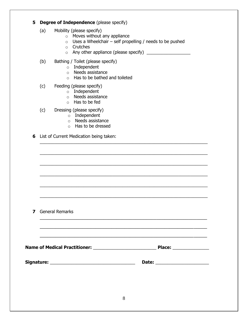### **5 Degree of Independence** (please specify)

- (a) Mobility (please specify)
	- o Moves without any appliance
	- $\circ$  Uses a Wheelchair self propelling / needs to be pushed

 $\_$  , and the set of the set of the set of the set of the set of the set of the set of the set of the set of the set of the set of the set of the set of the set of the set of the set of the set of the set of the set of th

 $\_$ 

 $\_$  , and the set of the set of the set of the set of the set of the set of the set of the set of the set of the set of the set of the set of the set of the set of the set of the set of the set of the set of the set of th

 $\_$ 

 $\_$  , and the set of the set of the set of the set of the set of the set of the set of the set of the set of the set of the set of the set of the set of the set of the set of the set of the set of the set of the set of th

 $\_$  , and the set of the set of the set of the set of the set of the set of the set of the set of the set of the set of the set of the set of the set of the set of the set of the set of the set of the set of the set of th

\_\_\_\_\_\_\_\_\_\_\_\_\_\_\_\_\_\_\_\_\_\_\_\_\_\_\_\_\_\_\_\_\_\_\_\_\_\_\_\_\_\_\_\_\_\_\_\_\_\_\_\_\_\_\_\_\_\_\_\_\_\_\_

\_\_\_\_\_\_\_\_\_\_\_\_\_\_\_\_\_\_\_\_\_\_\_\_\_\_\_\_\_\_\_\_\_\_\_\_\_\_\_\_\_\_\_\_\_\_\_\_\_\_\_\_\_\_\_\_\_\_\_\_\_\_\_

\_\_\_\_\_\_\_\_\_\_\_\_\_\_\_\_\_\_\_\_\_\_\_\_\_\_\_\_\_\_\_\_\_\_\_\_\_\_\_\_\_\_\_\_\_\_\_\_\_\_\_\_\_\_\_\_\_\_\_\_\_\_\_

- o Crutches
- o Any other appliance (please specify) \_\_\_\_\_\_\_\_\_\_\_\_\_\_\_\_\_\_
- (b) Bathing / Toilet (please specify)
	- o Independent
	- o Needs assistance
	- o Has to be bathed and toileted
- (c) Feeding (please specify)
	- o Independent
	- o Needs assistance
	- o Has to be fed

(c) Dressing (please specify)

- o Independent
- o Needs assistance
- o Has to be dressed

**6** List of Current Medication being taken:

**7** General Remarks

**Name of Medical Practitioner:** \_\_\_\_\_\_\_\_\_\_\_\_\_\_\_\_\_\_\_\_\_\_\_\_\_\_ **Place:** \_\_\_\_\_\_\_\_\_\_\_\_\_\_\_

**Signature:** \_\_\_\_\_\_\_\_\_\_\_\_\_\_\_\_\_\_\_\_\_\_\_\_\_\_\_\_\_\_\_\_\_\_\_ **Date:** \_\_\_\_\_\_\_\_\_\_\_\_\_\_\_\_\_\_\_\_\_\_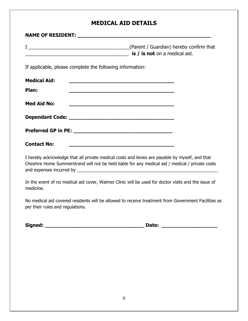### **MEDICAL AID DETAILS**

|                                                           | <b>is / is not</b> on a medical aid.                                                                                                                                                               |
|-----------------------------------------------------------|----------------------------------------------------------------------------------------------------------------------------------------------------------------------------------------------------|
| If applicable, please complete the following information: |                                                                                                                                                                                                    |
| <b>Medical Aid:</b>                                       |                                                                                                                                                                                                    |
| Plan:                                                     |                                                                                                                                                                                                    |
| <b>Med Aid No:</b>                                        | <u> 1989 - Johann John Stein, marwolaeth a bhannaich an t-Amhair an t-Amhair an t-Amhair an t-Amhair an t-Amhair a</u>                                                                             |
|                                                           |                                                                                                                                                                                                    |
|                                                           |                                                                                                                                                                                                    |
| <b>Contact No:</b>                                        | <u> 1989 - Johann John Stone, mars eta bat eta bat eta bat eta bat ez arteko errestan zituen erroman zituen err</u>                                                                                |
|                                                           | I hereby acknowledge that all private medical costs and levies are payable by myself, and that<br>Cheshire Home Summerstrand will not be held liable for any medical aid / medical / private costs |

In the event of no medical aid cover, Walmer Clinic will be used for doctor visits and the issue of medicine.

No medical aid covered residents will be allowed to receive treatment from Government Facilities as per their rules and regulations.

**Signed: \_\_\_\_\_\_\_\_\_\_\_\_\_\_\_\_\_\_\_\_\_\_\_\_\_\_\_\_\_\_\_\_ Date: \_\_\_\_\_\_\_\_\_\_\_\_\_\_\_\_\_\_**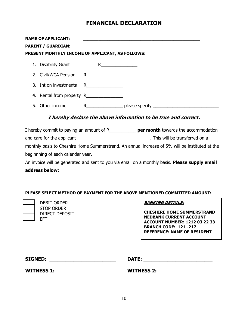### **FINANCIAL DECLARATION**

|    | <b>NAME OF APPLICANT:</b><br><b>PARENT / GUARDIAN:</b><br>PRESENT MONTHLY INCOME OF APPLICANT, AS FOLLOWS: |                                                                                                                                                                                                                                                                                                                                      |                |
|----|------------------------------------------------------------------------------------------------------------|--------------------------------------------------------------------------------------------------------------------------------------------------------------------------------------------------------------------------------------------------------------------------------------------------------------------------------------|----------------|
|    | 1. Disability Grant                                                                                        | R and $\overline{R}$ and $\overline{R}$ and $\overline{R}$ and $\overline{R}$ and $\overline{R}$ and $\overline{R}$ and $\overline{R}$ and $\overline{R}$ and $\overline{R}$ and $\overline{R}$ and $\overline{R}$ and $\overline{R}$ and $\overline{R}$ and $\overline{R}$ and $\overline{R}$ and $\overline{R}$ and $\overline{R}$ |                |
|    | 2. Civil/WCA Pension                                                                                       |                                                                                                                                                                                                                                                                                                                                      |                |
|    | 3. Int on investments                                                                                      |                                                                                                                                                                                                                                                                                                                                      |                |
|    | 4. Rental from property R                                                                                  |                                                                                                                                                                                                                                                                                                                                      |                |
| 5. | Other income                                                                                               | $R \sim$                                                                                                                                                                                                                                                                                                                             | please specify |

### **I hereby declare the above information to be true and correct.**

I hereby commit to paying an amount of R\_\_\_\_\_\_\_\_\_\_\_ **per month** towards the accommodation and care for the applicant \_\_\_\_\_\_\_\_\_\_\_\_\_\_\_\_\_\_\_\_\_\_\_\_\_\_\_\_\_\_. This will be transferred on a monthly basis to Cheshire Home Summerstrand. An annual increase of 5% will be instituted at the beginnning of each calender year. An invoice will be generated and sent to you via email on a monthly basis. **Please supply email address below:**

#### **PLEASE SELECT METHOD OF PAYMENT FOR THE ABOVE MENTIONED COMMITTED AMOUNT:**

**\_\_\_\_\_\_\_\_\_\_\_\_\_\_\_\_\_\_\_\_\_\_\_\_\_\_\_\_\_\_\_\_\_\_\_\_\_\_\_\_\_\_\_\_\_\_\_\_\_\_\_\_\_\_\_\_\_\_\_\_\_\_\_\_\_\_\_\_\_\_\_\_\_\_\_\_**

 $\overline{a}$ 

DEBIT ORDER STOP ORDER DIRECT DEPOSIT  $\Box$  EFT.

#### **BANKING DETAILS:**

**CHESHIRE HOME SUMMERSTRAND NEDBANK CURRENT ACCOUNT ACCOUNT NUMBER: 1212 03 22 33 BRANCH CODE: 121 -217 REFERENCE: NAME OF RESIDENT**

| <b>SIGNED:</b>    | <b>DATE:</b>      |  |
|-------------------|-------------------|--|
| <b>WITNESS 1:</b> | <b>WITNESS 2:</b> |  |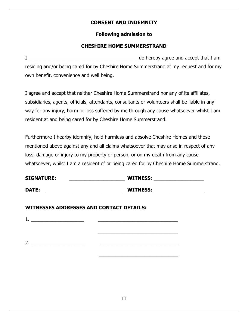### **CONSENT AND INDEMNITY**

### **Following admission to**

### **CHESHIRE HOME SUMMERSTRAND**

I \_\_\_\_\_\_\_\_\_\_\_\_\_\_\_\_\_\_\_\_\_\_\_\_\_\_\_\_\_\_\_\_\_\_\_\_\_\_\_\_\_ do hereby agree and accept that I am residing and/or being cared for by Cheshire Home Summerstrand at my request and for my own benefit, convenience and well being.

I agree and accept that neither Cheshire Home Summerstrand nor any of its affiliates, subsidiaries, agents, officials, attendants, consultants or volunteers shall be liable in any way for any injury, harm or loss suffered by me through any cause whatsoever whilst I am resident at and being cared for by Cheshire Home Summerstrand.

Furthermore I hearby idemnify, hold harmless and absolve Cheshire Homes and those mentioned above against any and all claims whatsoever that may arise in respect of any loss, damage or injury to my property or person, or on my death from any cause whatsoever, whilst I am a resident of or being cared for by Cheshire Home Summerstrand.

| <b>SIGNATURE:</b> | <b>WITNESS:</b> |  |  |
|-------------------|-----------------|--|--|
| DATE:             | <b>WITNESS:</b> |  |  |

1. \_\_\_\_\_\_\_\_\_\_\_\_\_\_\_\_\_\_\_\_ \_\_\_\_\_\_\_\_\_\_\_\_\_\_\_\_\_\_\_\_\_\_\_\_\_\_\_\_\_\_

 $\overline{\phantom{a}}$  , and the contract of the contract of the contract of the contract of the contract of the contract of the contract of the contract of the contract of the contract of the contract of the contract of the contrac

 $\frac{1}{\sqrt{2}}$  ,  $\frac{1}{\sqrt{2}}$  ,  $\frac{1}{\sqrt{2}}$  ,  $\frac{1}{\sqrt{2}}$  ,  $\frac{1}{\sqrt{2}}$  ,  $\frac{1}{\sqrt{2}}$  ,  $\frac{1}{\sqrt{2}}$  ,  $\frac{1}{\sqrt{2}}$  ,  $\frac{1}{\sqrt{2}}$  ,  $\frac{1}{\sqrt{2}}$  ,  $\frac{1}{\sqrt{2}}$  ,  $\frac{1}{\sqrt{2}}$  ,  $\frac{1}{\sqrt{2}}$  ,  $\frac{1}{\sqrt{2}}$  ,  $\frac{1}{\sqrt{2}}$ 2. \_\_\_\_\_\_\_\_\_\_\_\_\_\_\_\_\_\_\_\_ \_\_\_\_\_\_\_\_\_\_\_\_\_\_\_\_\_\_\_\_\_\_\_\_\_\_\_\_\_\_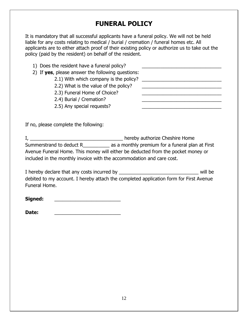## **FUNERAL POLICY**

It is mandatory that all successful applicants have a funeral policy. We will not be held liable for any costs relating to medical / burial / cremation / funeral homes etc. All applicants are to either attach proof of their existing policy or authorize us to take out the policy (paid by the resident) on behalf of the resident.

| 1) Does the resident have a funeral policy?       |  |
|---------------------------------------------------|--|
| 2) If yes, please answer the following questions: |  |
| 2.1) With which company is the policy?            |  |
| 2.2) What is the value of the policy?             |  |
| 2.3) Funeral Home of Choice?                      |  |
| 2.4) Burial / Cremation?                          |  |
| 2.5) Any special requests?                        |  |

If no, please complete the following:

I, \_\_\_\_\_\_\_\_\_\_\_\_\_\_\_\_\_\_\_\_\_\_\_\_\_\_\_\_\_\_\_\_\_\_\_ hereby authorize Cheshire Home Summerstrand to deduct R\_\_\_\_\_\_\_\_\_\_ as a monthly premium for a funeral plan at First Avenue Funeral Home. This money will either be deducted from the pocket money or included in the monthly invoice with the accommodation and care cost.

I hereby declare that any costs incurred by \_\_\_\_\_\_\_\_\_\_\_\_\_\_\_\_\_\_\_\_\_\_\_\_\_\_\_\_\_\_ will be debited to my account. I hereby attach the completed application form for First Avenue Funeral Home.

Signed:

| Date: |  |  |
|-------|--|--|
|       |  |  |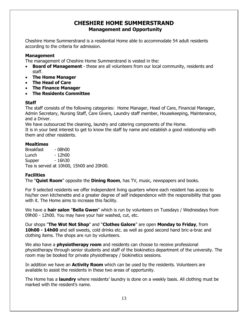### **CHESHIRE HOME SUMMERSTRAND Management and Opportunity**

Cheshire Home Summerstrand is a residential Home able to accommodate 54 adult residents according to the criteria for admission.

### **Management**

The management of Cheshire Home Summerstrand is vested in the:

- **Board of Management**  these are all volunteers from our local community, residents and staff.
- **The Home Manager**
- **The Head of Care**
- **The Finance Manager**
- **The Residents Committee**

### **Staff**

The staff consists of the following categories: Home Manager, Head of Care, Financial Manager, Admin Secretary, Nursing Staff, Care Givers, Laundry staff member, Housekeeping, Maintenance, and a Driver.

We have outsourced the cleaning, laundry and catering components of the Home. It is in your best interest to get to know the staff by name and establish a good relationship with

them and other residents.

### **Mealtimes**

Breakfast - 08h00 Lunch - 12h00 Supper - 16h30 Tea is served at 10h00, 15h00 and 20h00.

### **Facilities**

The "**Quiet Room**" opposite the **Dining Room**, has TV, music, newspapers and books.

For 9 selected residents we offer independent living quarters where each resident has access to his/her own kitchenette and a greater degree of self independence with the responsibility that goes with it. The Home aims to increase this facility.

We have a **hair salon** "**Bella Gwen**" which is run by volunteers on Tuesdays / Wednesdays from 09h00 - 12h00. You may have your hair washed, cut, etc.

Our shops "**The Wot Not Shop**" and "**Clothes Galore**" are open **Monday to Friday**, from **10h00 - 14h00** and sell sweets, cold drinks etc. as well as good second hand bric-a-brac and clothing items. The shops are run by volunteers.

We also have a **physiotherapy room** and residents can choose to receive professional physiotherapy through senior students and staff of the biokinetics department of the university. The room may be booked for private physiotherapy / biokinetics sessions.

In addition we have an **Activity Room** which can be used by the residents. Volunteers are available to assist the residents in these two areas of opportunity.

The Home has a **laundry** where residents' laundry is done on a weekly basis. All clothing must be marked with the resident's name.